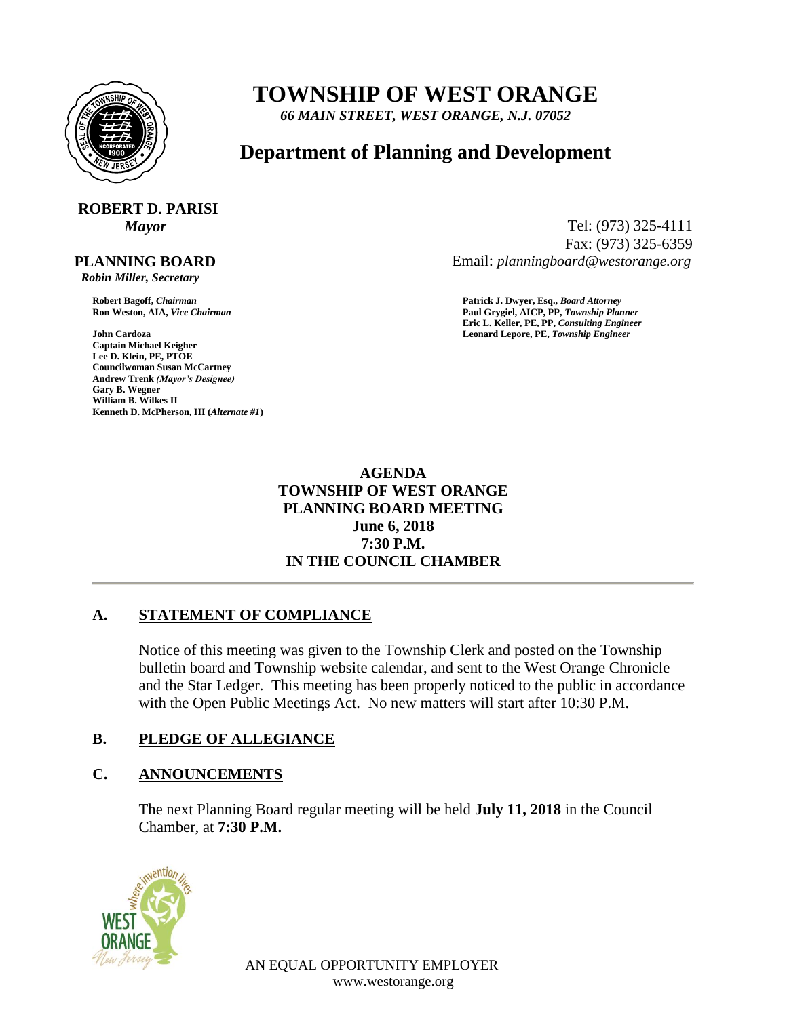

## **TOWNSHIP OF WEST ORANGE**

*66 MAIN STREET, WEST ORANGE, N.J. 07052*

### **Department of Planning and Development**

# **ROBERT D. PARISI**

#### **PLANNING BOARD**

 *Robin Miller, Secretary*

**John Cardoza Leonard Lepore, PE,** *Township Engineer* **Captain Michael Keigher Lee D. Klein, PE, PTOE Councilwoman Susan McCartney Andrew Trenk** *(Mayor's Designee)* **Gary B. Wegner William B. Wilkes II Kenneth D. McPherson, III (***Alternate #1***)**

*Mayor* Tel: (973) 325-4111 Fax: (973) 325-6359 Email: *planningboard@westorange.org*

**Robert Bagoff,** *Chairman* **Patrick J. Dwyer, Esq.,** *Board Attorney* **Ron Weston, AIA,** *Vice Chairman* **Paul Grygiel, AICP, PP,** *Township Planner* **Eric L. Keller, PE, PP,** *Consulting Engineer*

> **AGENDA TOWNSHIP OF WEST ORANGE PLANNING BOARD MEETING June 6, 2018 7:30 P.M. IN THE COUNCIL CHAMBER**

#### **A. STATEMENT OF COMPLIANCE**

Notice of this meeting was given to the Township Clerk and posted on the Township bulletin board and Township website calendar, and sent to the West Orange Chronicle and the Star Ledger. This meeting has been properly noticed to the public in accordance with the Open Public Meetings Act. No new matters will start after 10:30 P.M.

#### **B. PLEDGE OF ALLEGIANCE**

#### **C. ANNOUNCEMENTS**

The next Planning Board regular meeting will be held **July 11, 2018** in the Council Chamber, at **7:30 P.M.**